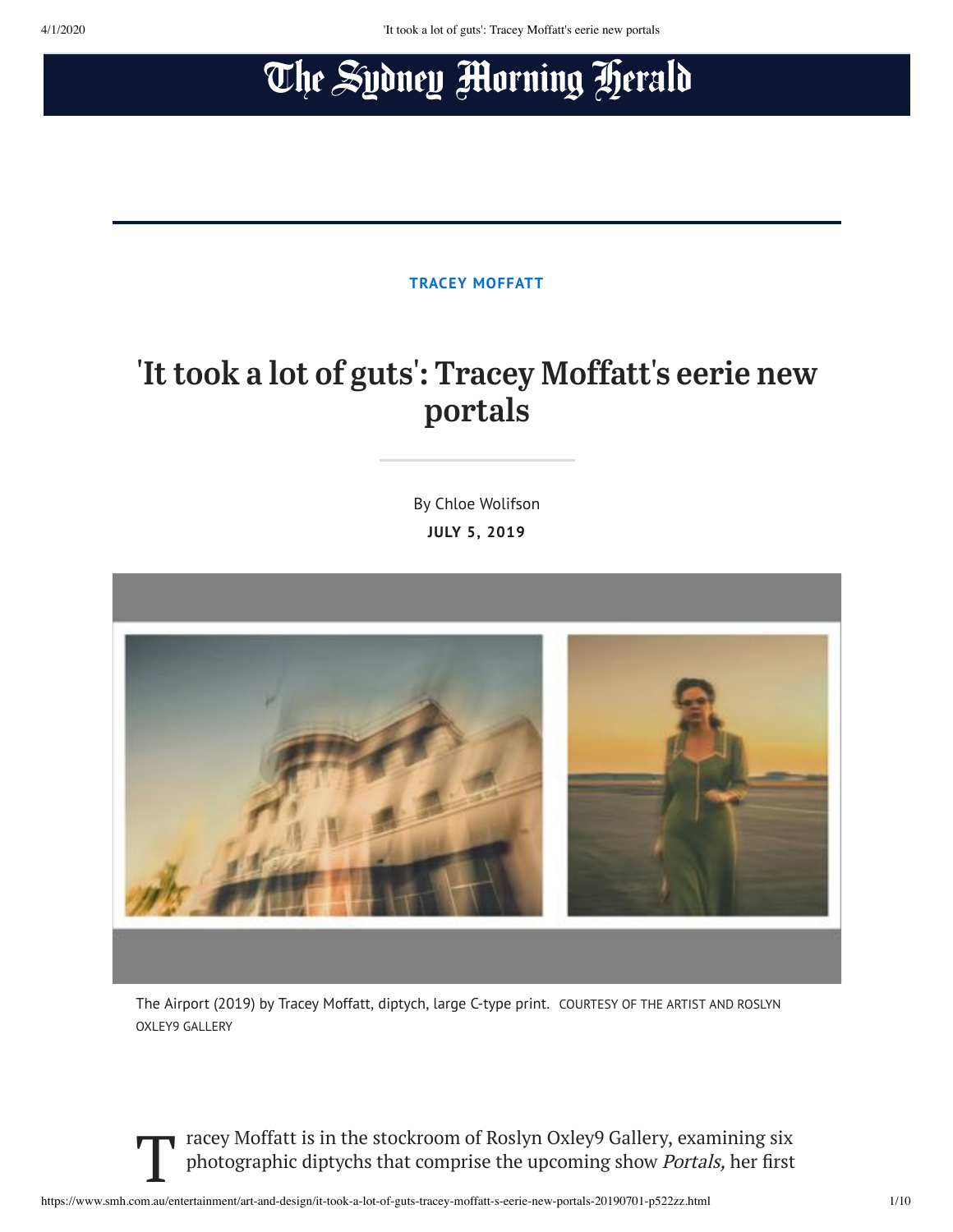# The Sydney Morning Herald

**[TRACEY MOFFATT](https://www.smh.com.au/topic/tracey-moffatt-5oa)**

## 'It took a lot of guts': Tracey Moffatt's eerie new portals

By Chloe Wolifson **JULY 5, 2019**



The Airport (2019) by Tracey Moffatt, diptych, large C-type print. COURTESY OF THE ARTIST AND ROSLYN OXLEY9 GALLERY

Tracey Moffatt is in the stockroom of Roslyn Oxley9 Gallery, examining six<br>photographic diptychs that comprise the upcoming show *Portals*, her first photographic diptychs that comprise the upcoming show *Portals,* her first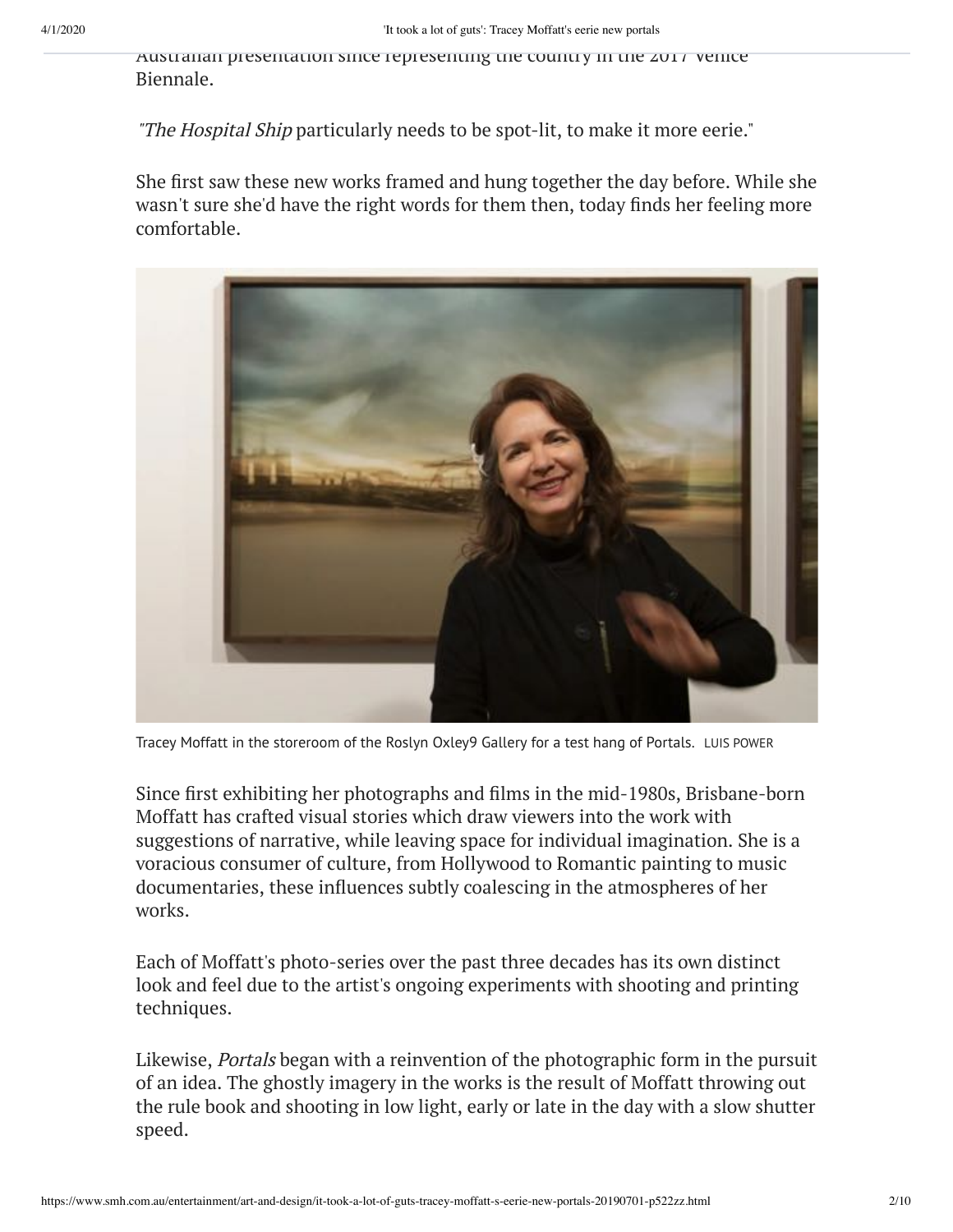Australian presentation since representing the country in the 2017 Venice Biennale.

"The Hospital Ship particularly needs to be spot-lit, to make it more eerie."

She first saw these new works framed and hung together the day before. While she wasn't sure she'd have the right words for them then, today finds her feeling more comfortable.



Tracey Moffatt in the storeroom of the Roslyn Oxley9 Gallery for a test hang of Portals. LUIS POWER

Since first exhibiting her photographs and films in the mid-1980s, Brisbane-born Moffatt has crafted visual stories which draw viewers into the work with suggestions of narrative, while leaving space for individual imagination. She is a voracious consumer of culture, from Hollywood to Romantic painting to music documentaries, these influences subtly coalescing in the atmospheres of her works.

Each of Moffatt's photo-series over the past three decades has its own distinct look and feel due to the artist's ongoing experiments with shooting and printing techniques.

Likewise, Portals began with a reinvention of the photographic form in the pursuit of an idea. The ghostly imagery in the works is the result of Moffatt throwing out the rule book and shooting in low light, early or late in the day with a slow shutter speed.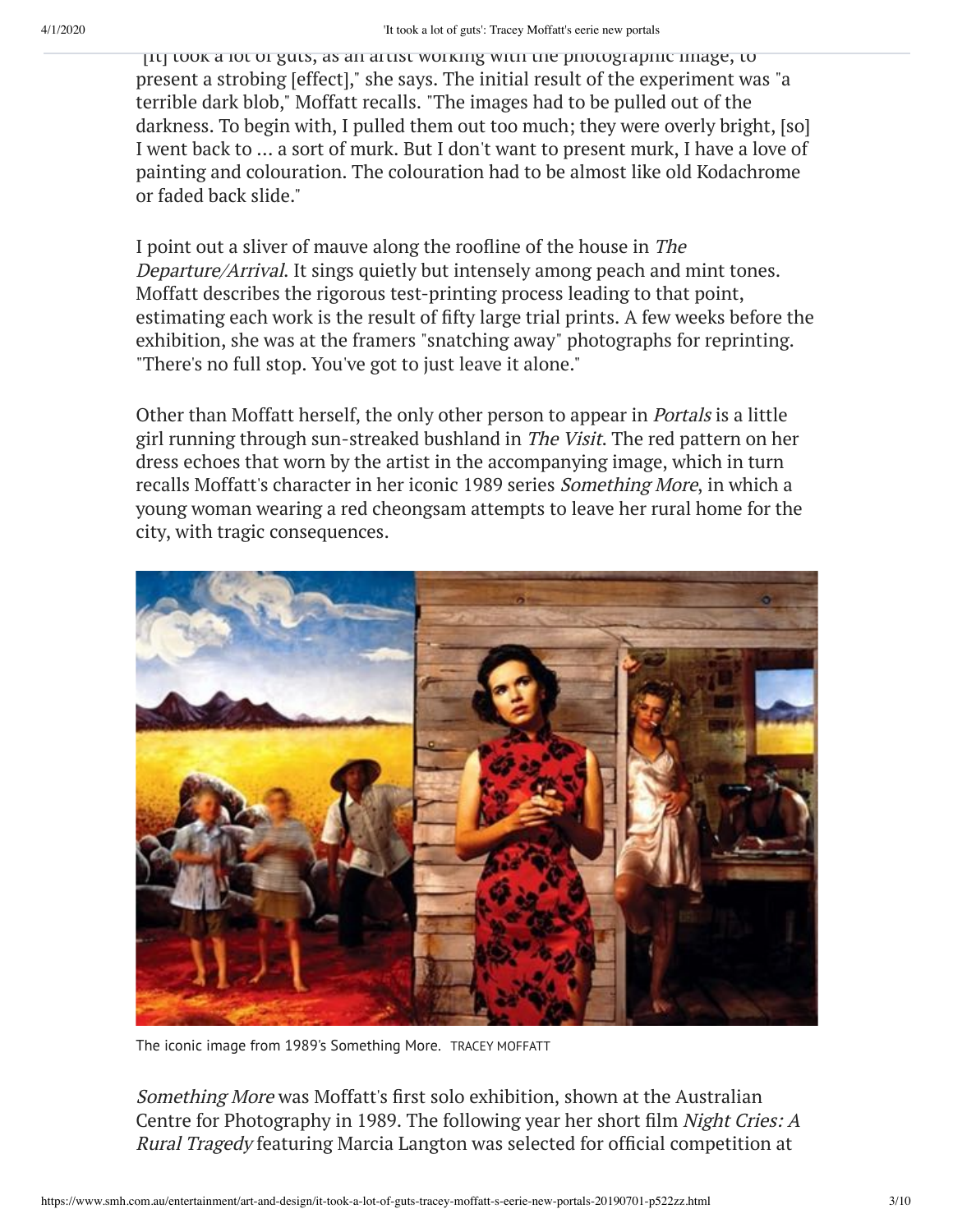"[It] took a lot of guts, as an artist working with the photographic image, to present a strobing [effect]," she says. The initial result of the experiment was "a terrible dark blob," Moffatt recalls. "The images had to be pulled out of the darkness. To begin with, I pulled them out too much; they were overly bright, [so] I went back to … a sort of murk. But I don't want to present murk, I have a love of painting and colouration. The colouration had to be almost like old Kodachrome or faded back slide."

I point out a sliver of mauve along the roofline of the house in The Departure/Arrival. It sings quietly but intensely among peach and mint tones. Moffatt describes the rigorous test-printing process leading to that point, estimating each work is the result of fifty large trial prints. A few weeks before the exhibition, she was at the framers "snatching away" photographs for reprinting. "There's no full stop. You've got to just leave it alone."

Other than Moffatt herself, the only other person to appear in Portals is a little girl running through sun-streaked bushland in The Visit. The red pattern on her dress echoes that worn by the artist in the accompanying image, which in turn recalls Moffatt's character in her iconic 1989 series Something More, in which a young woman wearing a red cheongsam attempts to leave her rural home for the city, with tragic consequences.



The iconic image from 1989's Something More. TRACEY MOFFATT

Something More was Moffatt's first solo exhibition, shown at the Australian Centre for Photography in 1989. The following year her short film Night Cries: A Rural Tragedy featuring Marcia Langton was selected for official competition at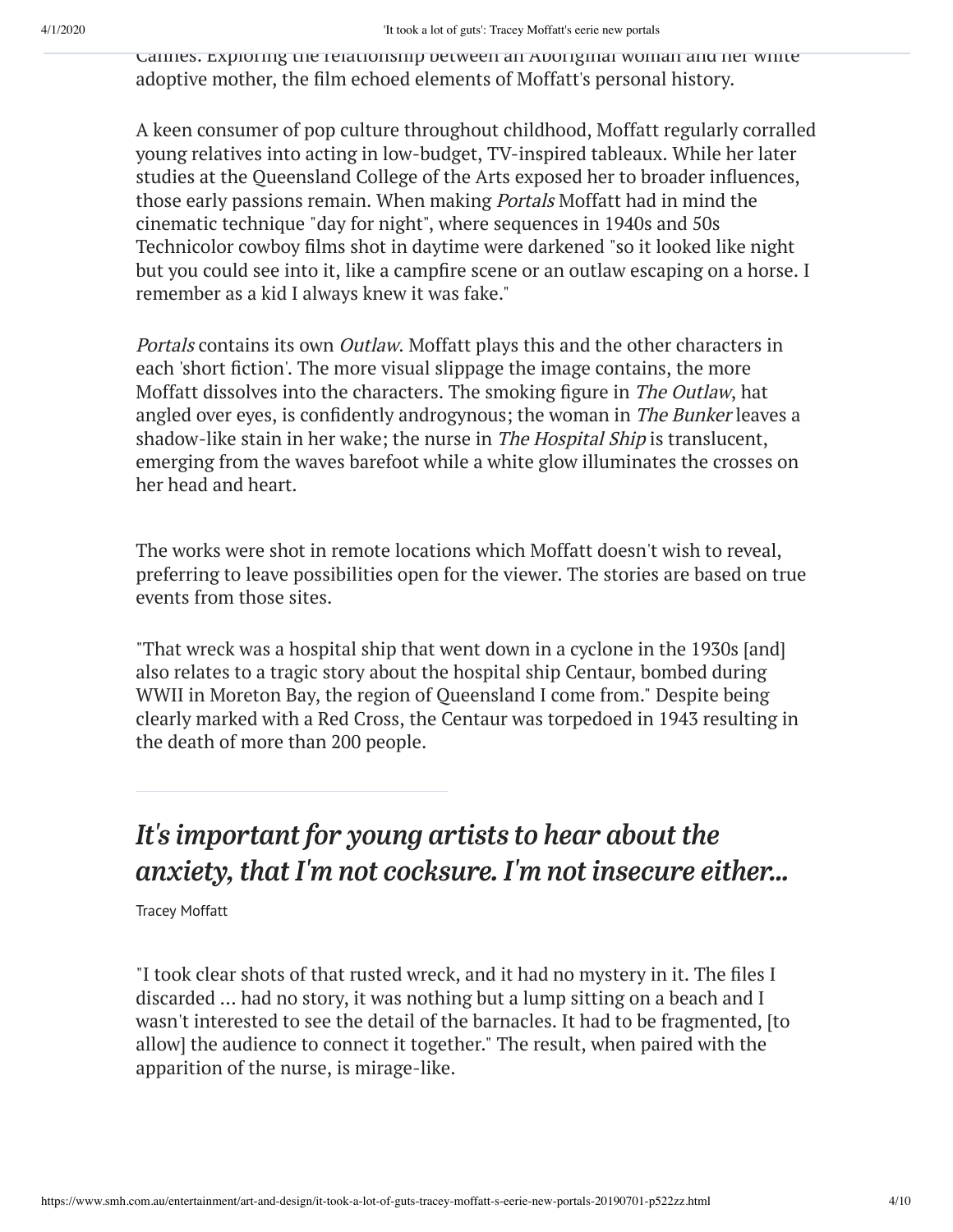Cannes. Exploring the relationship between an Aboriginal woman and her white adoptive mother, the film echoed elements of Moffatt's personal history.

A keen consumer of pop culture throughout childhood, Moffatt regularly corralled young relatives into acting in low-budget, TV-inspired tableaux. While her later studies at the Queensland College of the Arts exposed her to broader influences, those early passions remain. When making Portals Moffatt had in mind the cinematic technique "day for night", where sequences in 1940s and 50s Technicolor cowboy films shot in daytime were darkened "so it looked like night but you could see into it, like a campfire scene or an outlaw escaping on a horse. I remember as a kid I always knew it was fake."

Portals contains its own Outlaw. Moffatt plays this and the other characters in each 'short fiction'. The more visual slippage the image contains, the more Moffatt dissolves into the characters. The smoking figure in The Outlaw, hat angled over eyes, is confidently androgynous; the woman in The Bunker leaves a shadow-like stain in her wake; the nurse in The Hospital Ship is translucent, emerging from the waves barefoot while a white glow illuminates the crosses on her head and heart.

The works were shot in remote locations which Moffatt doesn't wish to reveal, preferring to leave possibilities open for the viewer. The stories are based on true events from those sites.

"That wreck was a hospital ship that went down in a cyclone in the 1930s [and] also relates to a tragic story about the hospital ship Centaur, bombed during WWII in Moreton Bay, the region of Queensland I come from." Despite being clearly marked with a Red Cross, the Centaur was torpedoed in 1943 resulting in the death of more than 200 people.

### *It's important for young artists to hear about the anxiety, that I'm not cocksure. I'm not insecure either...*

Tracey Moffatt

"I took clear shots of that rusted wreck, and it had no mystery in it. The files I discarded … had no story, it was nothing but a lump sitting on a beach and I wasn't interested to see the detail of the barnacles. It had to be fragmented, [to allow] the audience to connect it together." The result, when paired with the apparition of the nurse, is mirage-like.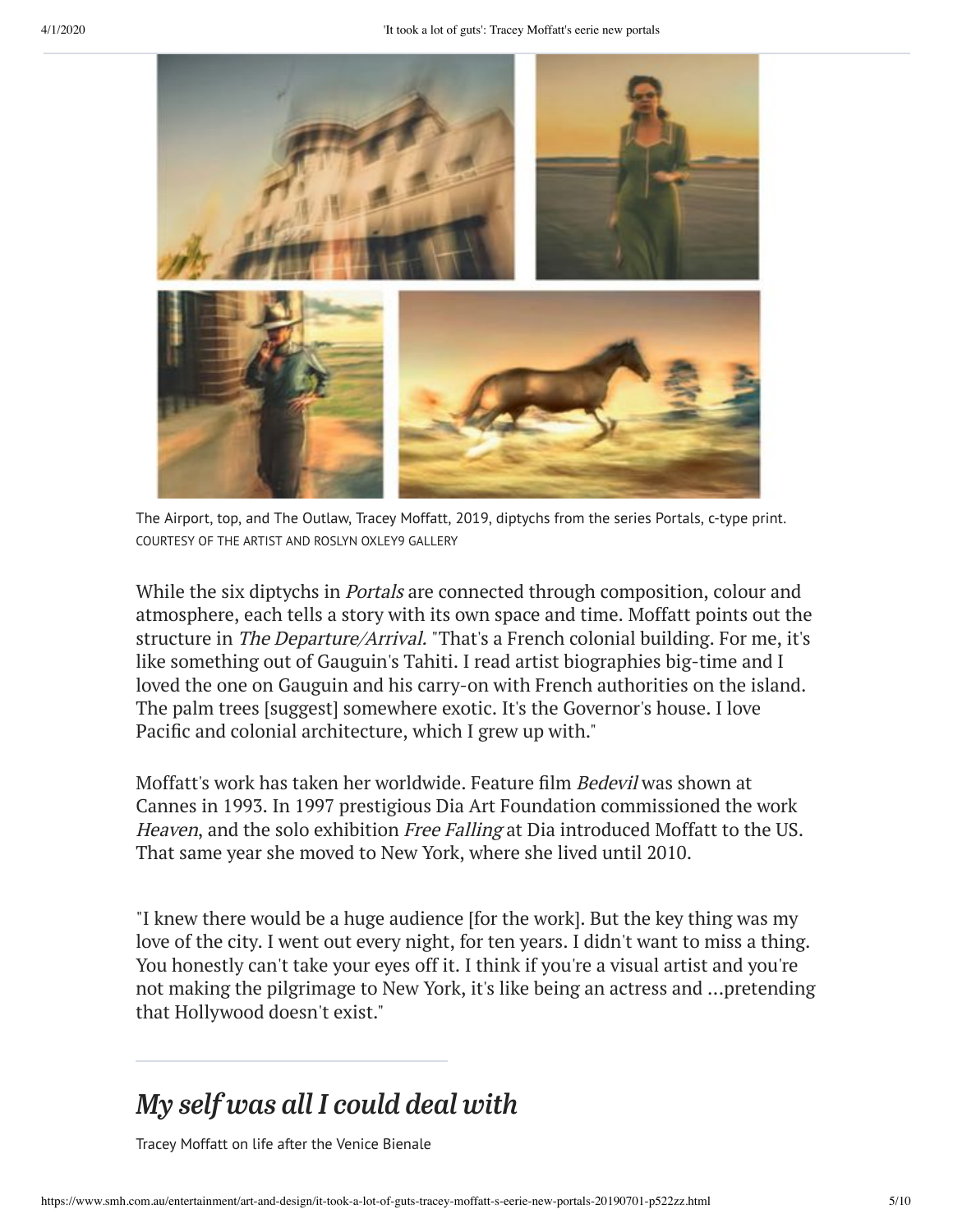

The Airport, top, and The Outlaw, Tracey Moffatt, 2019, diptychs from the series Portals, c-type print. COURTESY OF THE ARTIST AND ROSLYN OXLEY9 GALLERY

While the six diptychs in *Portals* are connected through composition, colour and atmosphere, each tells a story with its own space and time. Moffatt points out the structure in The Departure/Arrival. "That's a French colonial building. For me, it's like something out of Gauguin's Tahiti. I read artist biographies big-time and I loved the one on Gauguin and his carry-on with French authorities on the island. The palm trees [suggest] somewhere exotic. It's the Governor's house. I love Pacific and colonial architecture, which I grew up with."

Moffatt's work has taken her worldwide. Feature film Bedevil was shown at Cannes in 1993. In 1997 prestigious Dia Art Foundation commissioned the work Heaven, and the solo exhibition Free Falling at Dia introduced Moffatt to the US. That same year she moved to New York, where she lived until 2010.

"I knew there would be a huge audience [for the work]. But the key thing was my love of the city. I went out every night, for ten years. I didn't want to miss a thing. You honestly can't take your eyes off it. I think if you're a visual artist and you're not making the pilgrimage to New York, it's like being an actress and ...pretending that Hollywood doesn't exist."

#### *My self was all I could deal with*

Tracey Moffatt on life after the Venice Bienale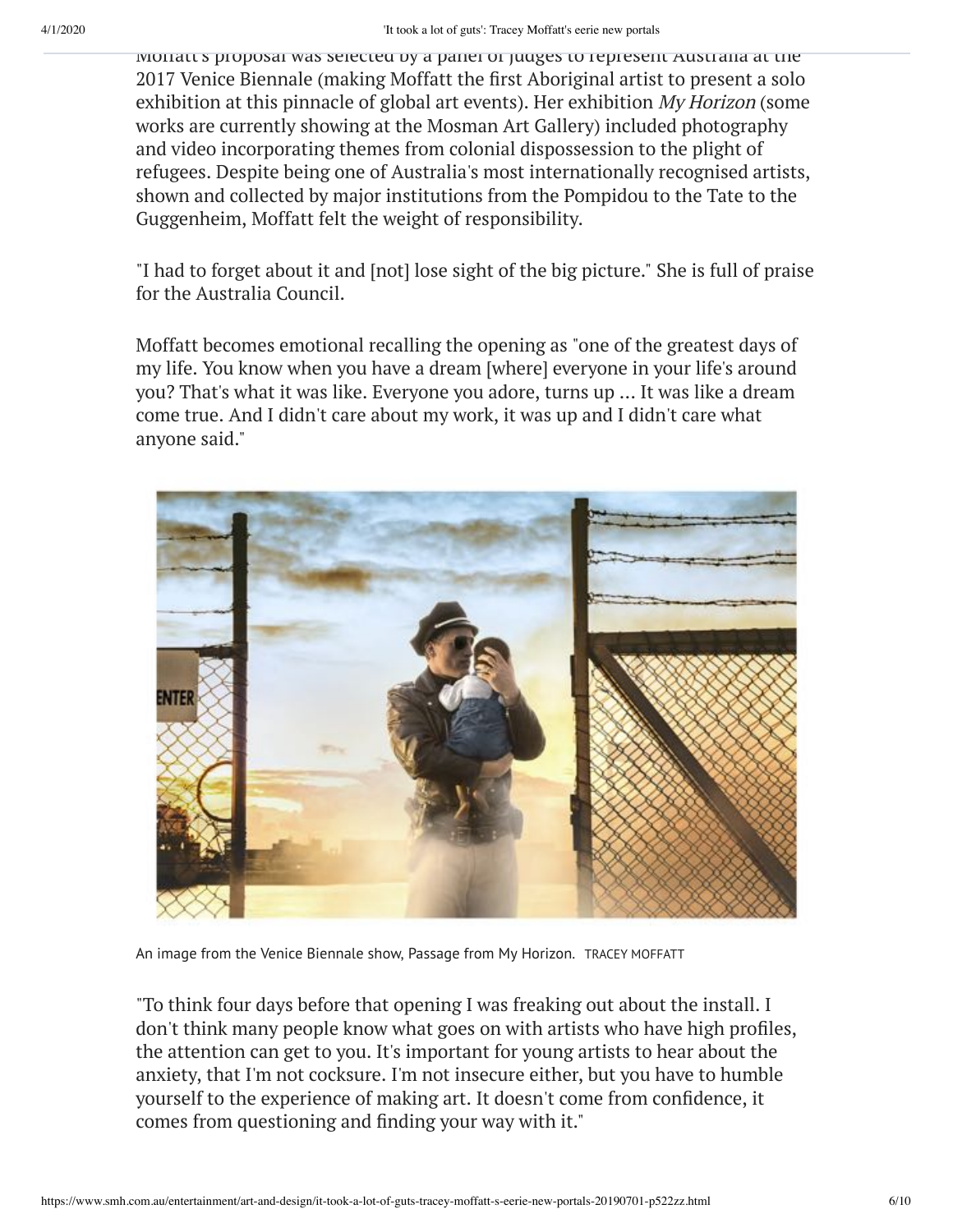Moffatt's proposal was selected by a panel of judges to represent Australia at the 2017 Venice Biennale (making Moffatt the first Aboriginal artist to present a solo exhibition at this pinnacle of global art events). Her exhibition My Horizon (some works are currently showing at the Mosman Art Gallery) included photography and video incorporating themes from colonial dispossession to the plight of refugees. Despite being one of Australia's most internationally recognised artists, shown and collected by major institutions from the Pompidou to the Tate to the Guggenheim, Moffatt felt the weight of responsibility.

"I had to forget about it and [not] lose sight of the big picture." She is full of praise for the Australia Council.

Moffatt becomes emotional recalling the opening as "one of the greatest days of my life. You know when you have a dream [where] everyone in your life's around you? That's what it was like. Everyone you adore, turns up … It was like a dream come true. And I didn't care about my work, it was up and I didn't care what anyone said."

![](_page_5_Picture_5.jpeg)

An image from the Venice Biennale show, Passage from My Horizon. TRACEY MOFFATT

"To think four days before that opening I was freaking out about the install. I don't think many people know what goes on with artists who have high profiles, the attention can get to you. It's important for young artists to hear about the anxiety, that I'm not cocksure. I'm not insecure either, but you have to humble yourself to the experience of making art. It doesn't come from confidence, it comes from questioning and finding your way with it."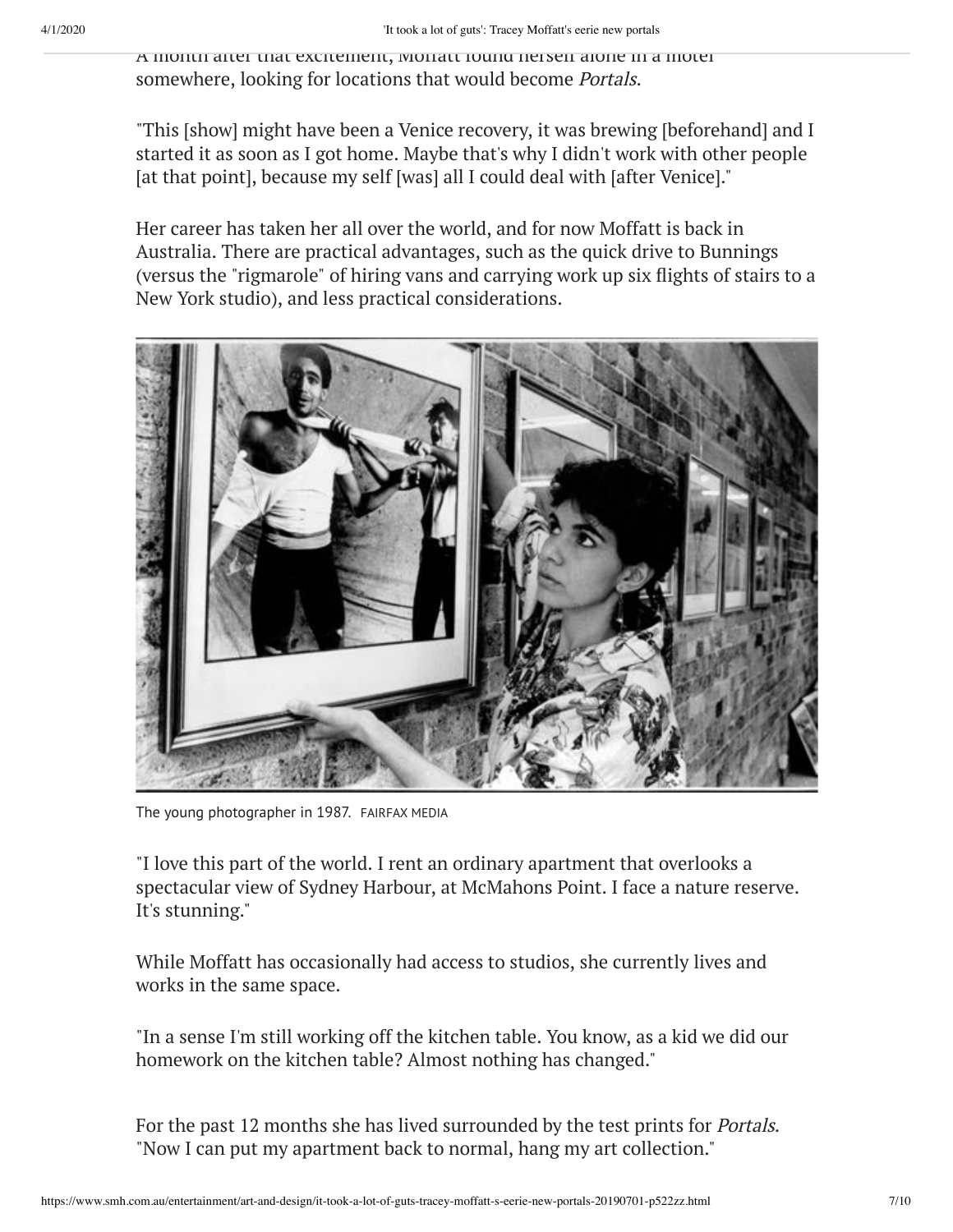A month after that excitement, Moffatt found herself alone in a motel somewhere, looking for locations that would become Portals.

"This [show] might have been a Venice recovery, it was brewing [beforehand] and I started it as soon as I got home. Maybe that's why I didn't work with other people [at that point], because my self [was] all I could deal with [after Venice]."

Her career has taken her all over the world, and for now Moffatt is back in Australia. There are practical advantages, such as the quick drive to Bunnings (versus the "rigmarole" of hiring vans and carrying work up six flights of stairs to a New York studio), and less practical considerations.

![](_page_6_Picture_5.jpeg)

The young photographer in 1987. FAIRFAX MEDIA

"I love this part of the world. I rent an ordinary apartment that overlooks a spectacular view of Sydney Harbour, at McMahons Point. I face a nature reserve. It's stunning."

While Moffatt has occasionally had access to studios, she currently lives and works in the same space.

"In a sense I'm still working off the kitchen table. You know, as a kid we did our homework on the kitchen table? Almost nothing has changed."

For the past 12 months she has lived surrounded by the test prints for Portals. "Now I can put my apartment back to normal, hang my art collection."